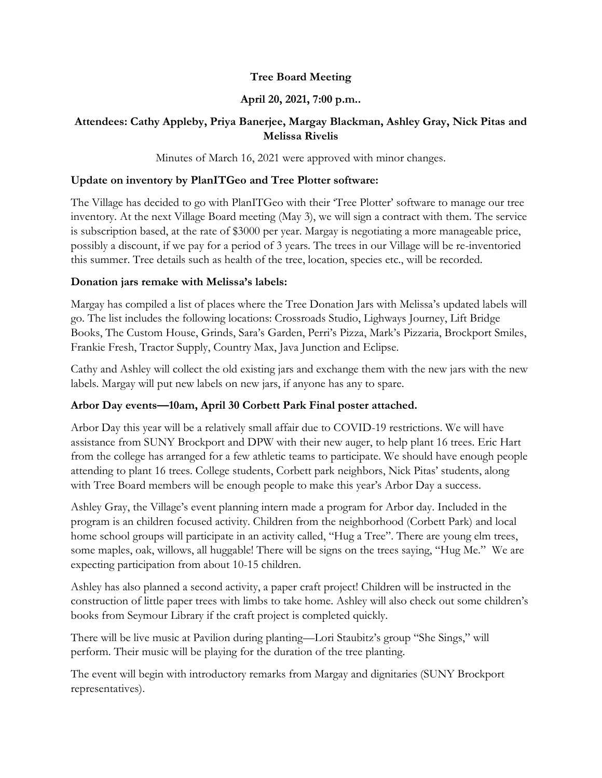## **Tree Board Meeting**

## **April 20, 2021, 7:00 p.m..**

### **Attendees: Cathy Appleby, Priya Banerjee, Margay Blackman, Ashley Gray, Nick Pitas and Melissa Rivelis**

Minutes of March 16, 2021 were approved with minor changes.

#### **Update on inventory by PlanITGeo and Tree Plotter software:**

The Village has decided to go with PlanITGeo with their 'Tree Plotter' software to manage our tree inventory. At the next Village Board meeting (May 3), we will sign a contract with them. The service is subscription based, at the rate of \$3000 per year. Margay is negotiating a more manageable price, possibly a discount, if we pay for a period of 3 years. The trees in our Village will be re-inventoried this summer. Tree details such as health of the tree, location, species etc., will be recorded.

#### **Donation jars remake with Melissa's labels:**

Margay has compiled a list of places where the Tree Donation Jars with Melissa's updated labels will go. The list includes the following locations: Crossroads Studio, Lighways Journey, Lift Bridge Books, The Custom House, Grinds, Sara's Garden, Perri's Pizza, Mark's Pizzaria, Brockport Smiles, Frankie Fresh, Tractor Supply, Country Max, Java Junction and Eclipse.

Cathy and Ashley will collect the old existing jars and exchange them with the new jars with the new labels. Margay will put new labels on new jars, if anyone has any to spare.

# **Arbor Day events—10am, April 30 Corbett Park Final poster attached.**

Arbor Day this year will be a relatively small affair due to COVID-19 restrictions. We will have assistance from SUNY Brockport and DPW with their new auger, to help plant 16 trees. Eric Hart from the college has arranged for a few athletic teams to participate. We should have enough people attending to plant 16 trees. College students, Corbett park neighbors, Nick Pitas' students, along with Tree Board members will be enough people to make this year's Arbor Day a success.

Ashley Gray, the Village's event planning intern made a program for Arbor day. Included in the program is an children focused activity. Children from the neighborhood (Corbett Park) and local home school groups will participate in an activity called, "Hug a Tree". There are young elm trees, some maples, oak, willows, all huggable! There will be signs on the trees saying, "Hug Me." We are expecting participation from about 10-15 children.

Ashley has also planned a second activity, a paper craft project! Children will be instructed in the construction of little paper trees with limbs to take home. Ashley will also check out some children's books from Seymour Library if the craft project is completed quickly.

There will be live music at Pavilion during planting—Lori Staubitz's group "She Sings," will perform. Their music will be playing for the duration of the tree planting.

The event will begin with introductory remarks from Margay and dignitaries (SUNY Brockport representatives).